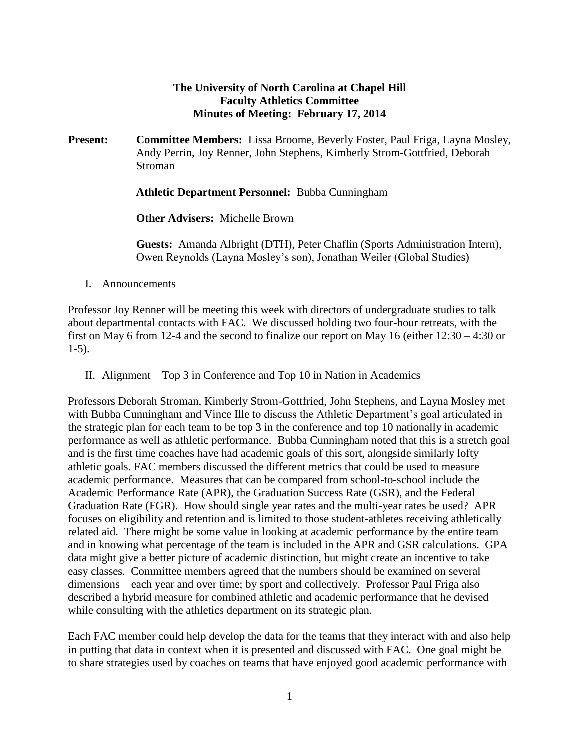## **The University of North Carolina at Chapel Hill Faculty Athletics Committee Minutes of Meeting: February 17, 2014**

**Present: Committee Members:** Lissa Broome, Beverly Foster, Paul Friga, Layna Mosley, Andy Perrin, Joy Renner, John Stephens, Kimberly Strom-Gottfried, Deborah Stroman

**Athletic Department Personnel:** Bubba Cunningham

**Other Advisers:** Michelle Brown

**Guests:** Amanda Albright (DTH), Peter Chaflin (Sports Administration Intern), Owen Reynolds (Layna Mosley's son), Jonathan Weiler (Global Studies)

I. Announcements

Professor Joy Renner will be meeting this week with directors of undergraduate studies to talk about departmental contacts with FAC. We discussed holding two four-hour retreats, with the first on May 6 from 12-4 and the second to finalize our report on May 16 (either 12:30 – 4:30 or 1-5).

II. Alignment – Top 3 in Conference and Top 10 in Nation in Academics

Professors Deborah Stroman, Kimberly Strom-Gottfried, John Stephens, and Layna Mosley met with Bubba Cunningham and Vince Ille to discuss the Athletic Department's goal articulated in the strategic plan for each team to be top 3 in the conference and top 10 nationally in academic performance as well as athletic performance. Bubba Cunningham noted that this is a stretch goal and is the first time coaches have had academic goals of this sort, alongside similarly lofty athletic goals. FAC members discussed the different metrics that could be used to measure academic performance. Measures that can be compared from school-to-school include the Academic Performance Rate (APR), the Graduation Success Rate (GSR), and the Federal Graduation Rate (FGR). How should single year rates and the multi-year rates be used? APR focuses on eligibility and retention and is limited to those student-athletes receiving athletically related aid. There might be some value in looking at academic performance by the entire team and in knowing what percentage of the team is included in the APR and GSR calculations. GPA data might give a better picture of academic distinction, but might create an incentive to take easy classes. Committee members agreed that the numbers should be examined on several dimensions – each year and over time; by sport and collectively. Professor Paul Friga also described a hybrid measure for combined athletic and academic performance that he devised while consulting with the athletics department on its strategic plan.

Each FAC member could help develop the data for the teams that they interact with and also help in putting that data in context when it is presented and discussed with FAC. One goal might be to share strategies used by coaches on teams that have enjoyed good academic performance with